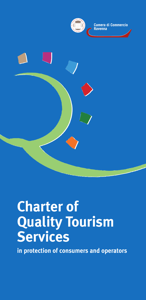

Camera di Commercio



## **Charter of Quality Tourism Services**

**in protection of consumers and operators**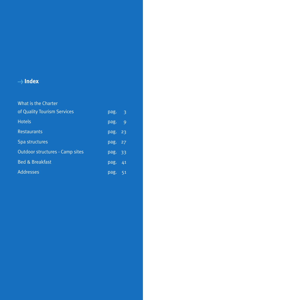## **> Index**

| What is the Charter                    |          |    |
|----------------------------------------|----------|----|
| of Quality Tourism Services            | pag. $3$ |    |
| <b>Hotels</b>                          | pag. 9   |    |
| <b>Restaurants</b>                     | pag. 23  |    |
| Spa structures                         | pag. 27  |    |
| <b>Outdoor structures - Camp sites</b> | pag. 33  |    |
| <b>Bed &amp; Breakfast</b>             | pag.     | 41 |
| <b>Addresses</b>                       | pag. 51  |    |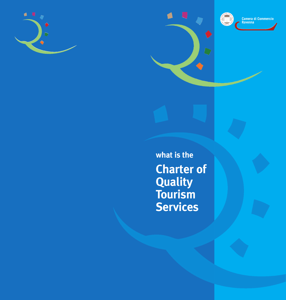





**what is the Charter of Quality Tourism Services**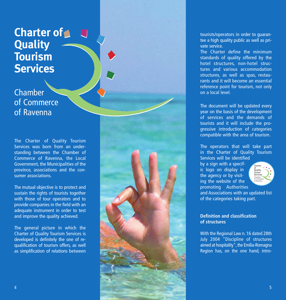## **Charter of Quality Tourism Services**

Chamber of Commerce of Ravenna

The Charter of Quality Tourism Services was born from an understanding between the Chamber of Commerce of Ravenna, the Local Government, the Municipalities of the province, associations and the consumer associations.

The mutual objective is to protect and sustain the rights of tourists together with those of tour operators and to provide companies in the field with an adequate instrument in order to test and improve the quality achieved.

The general picture in which the Charter of Quality Tourism Services is developed is definitely the one of requalification of tourism offers, as well as simplification of relations between tourists/operators in order to guarantee a high quality public as well as private service.

The Charter define the minimum standards of quality offered by the hotel structures, non-hotel structures and various accommodation structures, as well as spas, restaurants and it will become an essential reference point for tourism, not only on a local level.

The document will be updated every year on the basis of the development of services and the demands of tourists and it will include the progressive introduction of categories compatible with the area of tourism.

The operators that will take part in the Charter of Quality Tourism Services will be identified

by a sign with a specific logo on display in the agency or by visiting the website of the promoting Authorities



and Associations with an updated list of the categories taking part.

## **Definition and classification of structures**

With the Regional Law n. 16 dated 28th July 2004 "Discipline of structures aimed at hospitality", the Emilia-Romagna Region has, on the one hand, intro-